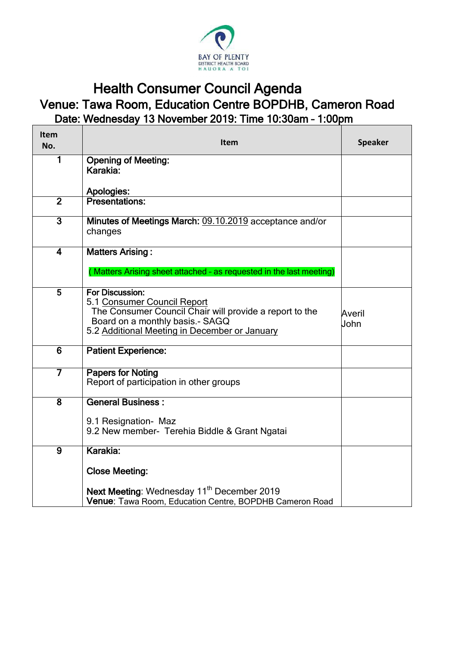

## Health Consumer Council Agenda Venue: Tawa Room, Education Centre BOPDHB, Cameron Road Date: Wednesday 13 November 2019: Time 10:30am – 1:00pm

| Item<br>No.             | Item                                                                                                                                                                                          | <b>Speaker</b> |
|-------------------------|-----------------------------------------------------------------------------------------------------------------------------------------------------------------------------------------------|----------------|
| 1                       | <b>Opening of Meeting:</b><br>Karakia:                                                                                                                                                        |                |
|                         | Apologies:                                                                                                                                                                                    |                |
| $\overline{2}$          | <b>Presentations:</b>                                                                                                                                                                         |                |
| $\overline{3}$          | Minutes of Meetings March: 09.10.2019 acceptance and/or<br>changes                                                                                                                            |                |
| $\overline{\mathbf{4}}$ | <b>Matters Arising:</b><br>(Matters Arising sheet attached - as requested in the last meeting)                                                                                                |                |
| $\overline{5}$          | For Discussion:<br>5.1 Consumer Council Report<br>The Consumer Council Chair will provide a report to the<br>Board on a monthly basis.- SAGQ<br>5.2 Additional Meeting in December or January | Averil<br>John |
| $\overline{6}$          | <b>Patient Experience:</b>                                                                                                                                                                    |                |
| 7                       | <b>Papers for Noting</b><br>Report of participation in other groups                                                                                                                           |                |
| $\overline{8}$          | <b>General Business:</b><br>9.1 Resignation- Maz<br>9.2 New member- Terehia Biddle & Grant Ngatai                                                                                             |                |
| $\overline{9}$          | Karakia:                                                                                                                                                                                      |                |
|                         | <b>Close Meeting:</b>                                                                                                                                                                         |                |
|                         | Next Meeting: Wednesday 11 <sup>th</sup> December 2019<br>Venue: Tawa Room, Education Centre, BOPDHB Cameron Road                                                                             |                |